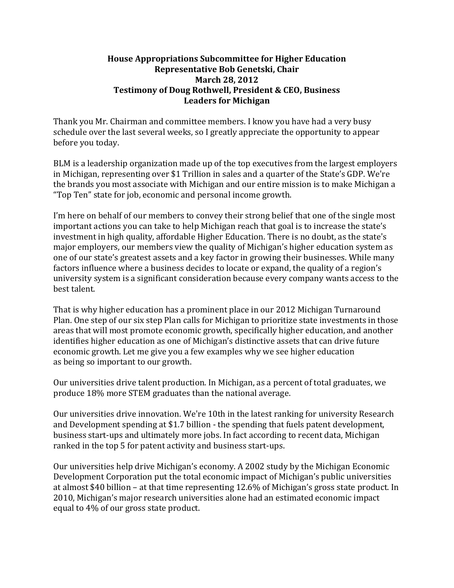## **House Appropriations Subcommittee for Higher Education Representative Bob Genetski, Chair March 28, 2012 Testimony of Doug Rothwell, President & CEO, Business Leaders for Michigan**

Thank you Mr. Chairman and committee members. I know you have had a very busy schedule over the last several weeks, so I greatly appreciate the opportunity to appear before you today.

BLM is a leadership organization made up of the top executives from the largest employers in Michigan, representing over \$1 Trillion in sales and a quarter of the State's GDP. We're the brands you most associate with Michigan and our entire mission is to make Michigan a "Top Ten" state for job, economic and personal income growth.

I'm here on behalf of our members to convey their strong belief that one of the single most important actions you can take to help Michigan reach that goal is to increase the state's investment in high quality, affordable Higher Education. There is no doubt, as the state's major employers, our members view the quality of Michigan's higher education system as one of our state's greatest assets and a key factor in growing their businesses. While many factors influence where a business decides to locate or expand, the quality of a region's university system is a significant consideration because every company wants access to the best talent.

That is why higher education has a prominent place in our 2012 Michigan Turnaround Plan. One step of our six step Plan calls for Michigan to prioritize state investments in those areas that will most promote economic growth, specifically higher education, and another identifies higher education as one of Michigan's distinctive assets that can drive future economic growth. Let me give you a few examples why we see higher education as being so important to our growth.

Our universities drive talent production. In Michigan, as a percent of total graduates, we produce 18% more STEM graduates than the national average.

Our universities drive innovation. We're 10th in the latest ranking for university Research and Development spending at \$1.7 billion - the spending that fuels patent development, business start-ups and ultimately more jobs. In fact according to recent data, Michigan ranked in the top 5 for patent activity and business start-ups.

Our universities help drive Michigan's economy. A 2002 study by the Michigan Economic Development Corporation put the total economic impact of Michigan's public universities at almost \$40 billion – at that time representing 12.6% of Michigan's gross state product. In 2010, Michigan's major research universities alone had an estimated economic impact equal to 4% of our gross state product.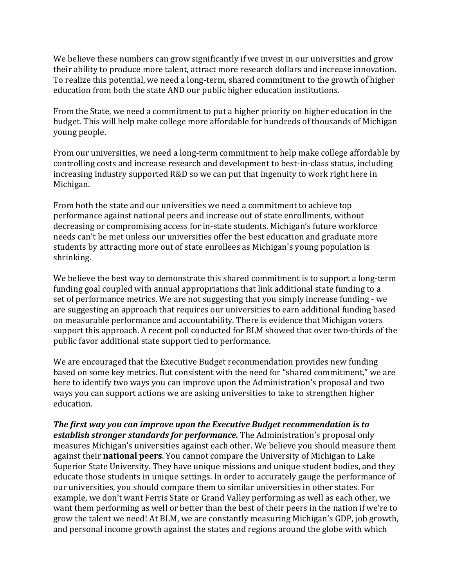We believe these numbers can grow significantly if we invest in our universities and grow their ability to produce more talent, attract more research dollars and increase innovation. To realize this potential, we need a long-term, shared commitment to the growth of higher education from both the state AND our public higher education institutions.

From the State, we need a commitment to put a higher priority on higher education in the budget. This will help make college more affordable for hundreds of thousands of Michigan young people.

From our universities, we need a long-term commitment to help make college affordable by controlling costs and increase research and development to best-in-class status, including increasing industry supported R&D so we can put that ingenuity to work right here in Michigan.

From both the state and our universities we need a commitment to achieve top performance against national peers and increase out of state enrollments, without decreasing or compromising access for in-state students. Michigan's future workforce needs can't be met unless our universities offer the best education and graduate more students by attracting more out of state enrollees as Michigan's young population is shrinking.

We believe the best way to demonstrate this shared commitment is to support a long-term funding goal coupled with annual appropriations that link additional state funding to a set of performance metrics. We are not suggesting that you simply increase funding - we are suggesting an approach that requires our universities to earn additional funding based on measurable performance and accountability. There is evidence that Michigan voters support this approach. A recent poll conducted for BLM showed that over two-thirds of the public favor additional state support tied to performance.

We are encouraged that the Executive Budget recommendation provides new funding based on some key metrics. But consistent with the need for "shared commitment," we are here to identify two ways you can improve upon the Administration's proposal and two ways you can support actions we are asking universities to take to strengthen higher education.

*The first way you can improve upon the Executive Budget recommendation is to establish stronger standards for performance.* The Administration's proposal only measures Michigan's universities against each other. We believe you should measure them against their **national peers**. You cannot compare the University of Michigan to Lake Superior State University. They have unique missions and unique student bodies, and they educate those students in unique settings. In order to accurately gauge the performance of our universities, you should compare them to similar universities in other states. For example, we don't want Ferris State or Grand Valley performing as well as each other, we want them performing as well or better than the best of their peers in the nation if we're to grow the talent we need! At BLM, we are constantly measuring Michigan's GDP, job growth, and personal income growth against the states and regions around the globe with which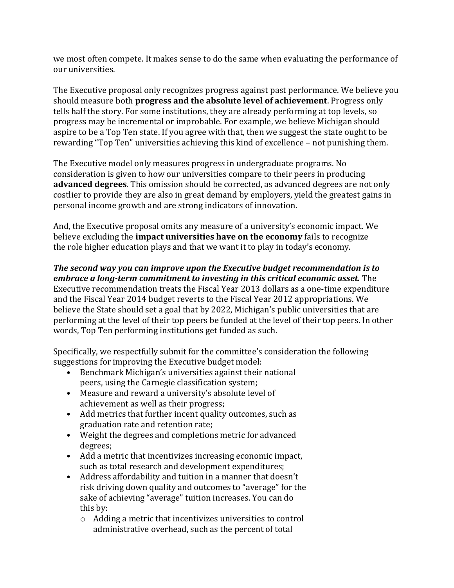we most often compete. It makes sense to do the same when evaluating the performance of our universities.

The Executive proposal only recognizes progress against past performance. We believe you should measure both **progress and the absolute level of achievement**. Progress only tells half the story. For some institutions, they are already performing at top levels, so progress may be incremental or improbable. For example, we believe Michigan should aspire to be a Top Ten state. If you agree with that, then we suggest the state ought to be rewarding "Top Ten" universities achieving this kind of excellence – not punishing them.

The Executive model only measures progress in undergraduate programs. No consideration is given to how our universities compare to their peers in producing **advanced degrees**. This omission should be corrected, as advanced degrees are not only costlier to provide they are also in great demand by employers, yield the greatest gains in personal income growth and are strong indicators of innovation.

And, the Executive proposal omits any measure of a university's economic impact. We believe excluding the **impact universities have on the economy** fails to recognize the role higher education plays and that we want it to play in today's economy.

## *The second way you can improve upon the Executive budget recommendation is to embrace a long-term commitment to investing in this critical economic asset.* The

Executive recommendation treats the Fiscal Year 2013 dollars as a one-time expenditure and the Fiscal Year 2014 budget reverts to the Fiscal Year 2012 appropriations. We believe the State should set a goal that by 2022, Michigan's public universities that are performing at the level of their top peers be funded at the level of their top peers. In other words, Top Ten performing institutions get funded as such.

Specifically, we respectfully submit for the committee's consideration the following suggestions for improving the Executive budget model:

- Benchmark Michigan's universities against their national peers, using the Carnegie classification system;
- Measure and reward a university's absolute level of achievement as well as their progress;
- Add metrics that further incent quality outcomes, such as graduation rate and retention rate;
- Weight the degrees and completions metric for advanced degrees;
- Add a metric that incentivizes increasing economic impact, such as total research and development expenditures;
- Address affordability and tuition in a manner that doesn't risk driving down quality and outcomes to "average" for the sake of achieving "average" tuition increases. You can do this by:
	- o Adding a metric that incentivizes universities to control administrative overhead, such as the percent of total